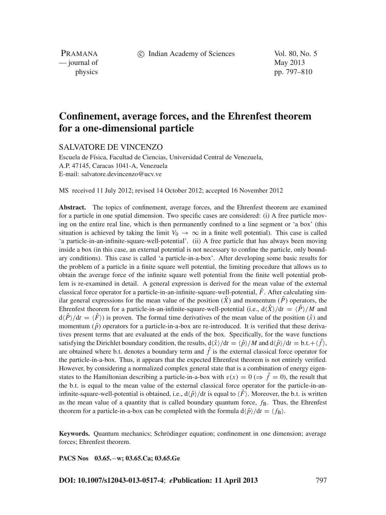c Indian Academy of Sciences Vol. 80, No. 5

PRAMANA — journal of May 2013

physics pp. 797–810

# **Confinement, average forces, and the Ehrenfest theorem for a one-dimensional particle**

SALVATORE DE VINCENZO

Escuela de Física, Facultad de Ciencias, Universidad Central de Venezuela, A.P. 47145, Caracas 1041-A, Venezuela E-mail: salvatore.devincenzo@ucv.ve

MS received 11 July 2012; revised 14 October 2012; accepted 16 November 2012

**Abstract.** The topics of confinement, average forces, and the Ehrenfest theorem are examined for a particle in one spatial dimension. Two specific cases are considered: (i) A free particle moving on the entire real line, which is then permanently confined to a line segment or 'a box' (this situation is achieved by taking the limit  $V_0 \rightarrow \infty$  in a finite well potential). This case is called 'a particle-in-an-infinite-square-well-potential'. (ii) A free particle that has always been moving inside a box (in this case, an external potential is not necessary to confine the particle, only boundary conditions). This case is called 'a particle-in-a-box'. After developing some basic results for the problem of a particle in a finite square well potential, the limiting procedure that allows us to obtain the average force of the infinite square well potential from the finite well potential problem is re-examined in detail. A general expression is derived for the mean value of the external classical force operator for a particle-in-an-infinite-square-well-potential,  $\hat{F}$ . After calculating similar general expressions for the mean value of the position  $(\hat{X})$  and momentum  $(\hat{P})$  operators, the Ehrenfest theorem for a particle-in-an-infinite-square-well-potential (i.e.,  $d\hat{X}/dt = \langle \hat{P} \rangle /M$  and  $d\langle \hat{P} \rangle/dt = \langle \hat{F} \rangle$  is proven. The formal time derivatives of the mean value of the position  $(\hat{x})$  and momentum  $(\hat{p})$  operators for a particle-in-a-box are re-introduced. It is verified that these derivatives present terms that are evaluated at the ends of the box. Specifically, for the wave functions satisfying the Dirichlet boundary condition, the results,  $d\langle \hat{x} \rangle/dt = \langle \hat{p} \rangle/M$  and  $d\langle \hat{p} \rangle/dt = b.t. + \langle \hat{f} \rangle$ , are obtained where b.t. denotes a boundary term and  $\hat{f}$  is the external classical force operator for the particle-in-a-box. Thus, it appears that the expected Ehrenfest theorem is not entirely verified. However, by considering a normalized complex general state that is a combination of energy eigenstates to the Hamiltonian describing a particle-in-a-box with  $v(x) = 0 \ (\Rightarrow \ \hat{f} = 0)$ , the result that the b.t. is equal to the mean value of the external classical force operator for the particle-in-aninfinite-square-well-potential is obtained, i.e.,  $d\langle \hat{p}\rangle/dt$  is equal to  $\langle \hat{F}\rangle$ . Moreover, the b.t. is written as the mean value of a quantity that is called boundary quantum force,  $f_B$ . Thus, the Ehrenfest theorem for a particle-in-a-box can be completed with the formula  $d\langle \hat{p}\rangle/dt = \langle f_B \rangle$ .

**Keywords.** Quantum mechanics; Schrödinger equation; confinement in one dimension; average forces; Ehrenfest theorem.

**PACS Nos 03.65.**−**w; 03.65.Ca; 03.65.Ge**

**DOI: 10.1007/s12043-013-0517-4**; *e***Publication: 11 April 2013** 797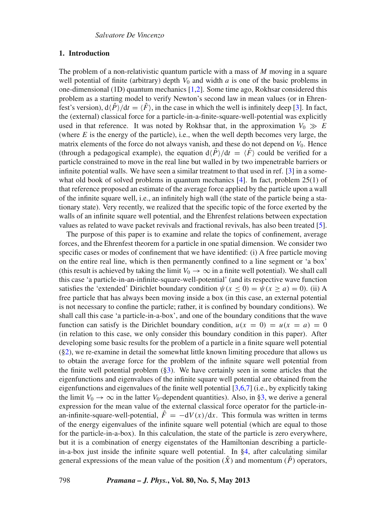# **1. Introduction**

The problem of a non-relativistic quantum particle with a mass of *M* moving in a square well potential of finite (arbitrary) depth  $V_0$  and width  $a$  is one of the basic problems in one-dimensional (1D) quantum mechanics [\[1](#page-13-0)[,2\]](#page-13-1). Some time ago, Rokhsar considered this problem as a starting model to verify Newton's second law in mean values (or in Ehrenfest's version),  $d\langle \hat{P} \rangle / dt = \langle \hat{F} \rangle$ , in the case in which the well is infinitely deep [\[3\]](#page-13-2). In fact, the (external) classical force for a particle-in-a-finite-square-well-potential was explicitly used in that reference. It was noted by Rokhsar that, in the approximation  $V_0 \gg E$ (where *E* is the energy of the particle), i.e., when the well depth becomes very large, the matrix elements of the force do not always vanish, and these do not depend on  $V_0$ . Hence (through a pedagogical example), the equation  $d\langle \hat{P}\rangle/dt = \langle \hat{F}\rangle$  could be verified for a particle constrained to move in the real line but walled in by two impenetrable barriers or infinite potential walls. We have seen a similar treatment to that used in ref. [\[3\]](#page-13-2) in a some-what old book of solved problems in quantum mechanics [\[4](#page-13-3)]. In fact, problem 25(1) of that reference proposed an estimate of the average force applied by the particle upon a wall of the infinite square well, i.e., an infinitely high wall (the state of the particle being a stationary state). Very recently, we realized that the specific topic of the force exerted by the walls of an infinite square well potential, and the Ehrenfest relations between expectation values as related to wave packet revivals and fractional revivals, has also been treated [\[5](#page-13-4)].

The purpose of this paper is to examine and relate the topics of confinement, average forces, and the Ehrenfest theorem for a particle in one spatial dimension. We consider two specific cases or modes of confinement that we have identified: (i) A free particle moving on the entire real line, which is then permanently confined to a line segment or 'a box' (this result is achieved by taking the limit  $V_0 \rightarrow \infty$  in a finite well potential). We shall call this case 'a particle-in-an-infinite-square-well-potential' (and its respective wave function satisfies the 'extended' Dirichlet boundary condition  $\psi(x \le 0) = \psi(x \ge a) = 0$ ). (ii) A free particle that has always been moving inside a box (in this case, an external potential is not necessary to confine the particle; rather, it is confined by boundary conditions). We shall call this case 'a particle-in-a-box', and one of the boundary conditions that the wave function can satisfy is the Dirichlet boundary condition,  $u(x = 0) = u(x = a) = 0$ (in relation to this case, we only consider this boundary condition in this paper). After developing some basic results for the problem of a particle in a finite square well potential ([§2\)](#page-2-0), we re-examine in detail the somewhat little known limiting procedure that allows us to obtain the average force for the problem of the infinite square well potential from the finite well potential problem ([§3\)](#page-5-0). We have certainly seen in some articles that the eigenfunctions and eigenvalues of the infinite square well potential are obtained from the eigenfunctions and eigenvalues of the finite well potential [\[3](#page-13-2)[,6](#page-13-5)[,7](#page-13-6)] (i.e., by explicitly taking the limit  $V_0 \rightarrow \infty$  in the latter  $V_0$ -dependent quantities). Also, in [§3,](#page-5-0) we derive a general expression for the mean value of the external classical force operator for the particle-inan-infinite-square-well-potential,  $\hat{F} = -dV(x)/dx$ . This formula was written in terms of the energy eigenvalues of the infinite square well potential (which are equal to those for the particle-in-a-box). In this calculation, the state of the particle is zero everywhere, but it is a combination of energy eigenstates of the Hamiltonian describing a particlein-a-box just inside the infinite square well potential. In [§4,](#page-8-0) after calculating similar general expressions of the mean value of the position  $(\hat{X})$  and momentum  $(\hat{P})$  operators,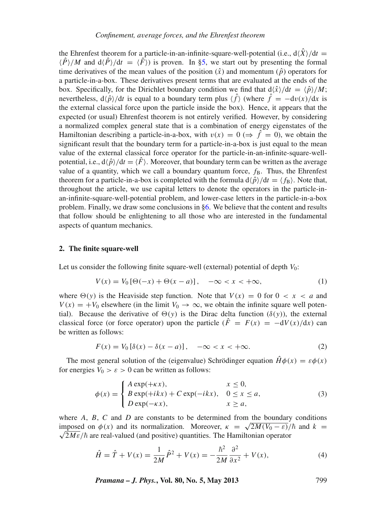the Ehrenfest theorem for a particle-in-an-infinite-square-well-potential (i.e.,  $d\langle \hat{X} \rangle / dt =$  $\langle \hat{P} \rangle / M$  and  $d \langle \hat{P} \rangle / dt = \langle \hat{F} \rangle$  is proven. In [§5,](#page-9-0) we start out by presenting the formal time derivatives of the mean values of the position  $(\hat{x})$  and momentum  $(\hat{p})$  operators for a particle-in-a-box. These derivatives present terms that are evaluated at the ends of the box. Specifically, for the Dirichlet boundary condition we find that  $d\langle \hat{x} \rangle / dt = \langle \hat{p} \rangle / M$ ; nevertheless,  $d\langle \hat{p}\rangle/dt$  is equal to a boundary term plus  $\langle \hat{f}\rangle$  (where  $\hat{f} = -dv(x)/dx$  is the external classical force upon the particle inside the box). Hence, it appears that the expected (or usual) Ehrenfest theorem is not entirely verified. However, by considering a normalized complex general state that is a combination of energy eigenstates of the Hamiltonian describing a particle-in-a-box, with  $v(x) = 0 \implies \hat{f} = 0$ , we obtain the significant result that the boundary term for a particle-in-a-box is just equal to the mean value of the external classical force operator for the particle-in-an-infinite-square-wellpotential, i.e.,  $d\langle \hat{p}\rangle/dt = \langle \hat{F}\rangle$ . Moreover, that boundary term can be written as the average value of a quantity, which we call a boundary quantum force,  $f_B$ . Thus, the Ehrenfest theorem for a particle-in-a-box is completed with the formula  $d \hat{\rho}/dt = \langle f_B \rangle$ . Note that, throughout the article, we use capital letters to denote the operators in the particle-inan-infinite-square-well-potential problem, and lower-case letters in the particle-in-a-box problem. Finally, we draw some conclusions in [§6.](#page-12-0) We believe that the content and results that follow should be enlightening to all those who are interested in the fundamental aspects of quantum mechanics.

# <span id="page-2-0"></span>**2. The finite square-well**

Let us consider the following finite square-well (external) potential of depth  $V_0$ :

$$
V(x) = V_0 [\Theta(-x) + \Theta(x - a)], \quad -\infty < x < +\infty,\tag{1}
$$

where  $\Theta(y)$  is the Heaviside step function. Note that  $V(x) = 0$  for  $0 < x < a$  and  $V(x) = +V_0$  elsewhere (in the limit  $V_0 \rightarrow \infty$ , we obtain the infinite square well potential). Because the derivative of  $\Theta(y)$  is the Dirac delta function ( $\delta(y)$ ), the external classical force (or force operator) upon the particle  $(\hat{F} = F(x) = -dV(x)/dx)$  can be written as follows:

<span id="page-2-3"></span>
$$
F(x) = V_0 \left[ \delta(x) - \delta(x - a) \right], \quad -\infty < x < +\infty. \tag{2}
$$

The most general solution of the (eigenvalue) Schrödinger equation  $\hat{H}\phi(x) = \varepsilon\phi(x)$ for energies  $V_0 > \varepsilon > 0$  can be written as follows:

<span id="page-2-1"></span>
$$
\phi(x) = \begin{cases}\nA \exp(+\kappa x), & x \le 0, \\
B \exp(+ikx) + C \exp(-ikx), & 0 \le x \le a, \\
D \exp(-\kappa x), & x \ge a,\n\end{cases}
$$
\n(3)

where *A*, *B*, *C* and *D* are constants to be determined from the boundary conditions imposed on  $\phi(x)$  and *b* are constants to be determined from the boundary conditions imposed on  $\phi(x)$  and its normalization. Moreover,  $\kappa = \sqrt{2M(V_0 - \varepsilon)}/\hbar$  and  $k =$  $\sqrt{2M\varepsilon}/\hbar$  are real-valued (and positive) quantities. The Hamiltonian operator

<span id="page-2-2"></span>
$$
\hat{H} = \hat{T} + V(x) = \frac{1}{2M}\hat{P}^2 + V(x) = -\frac{\hbar^2}{2M}\frac{\partial^2}{\partial x^2} + V(x),\tag{4}
$$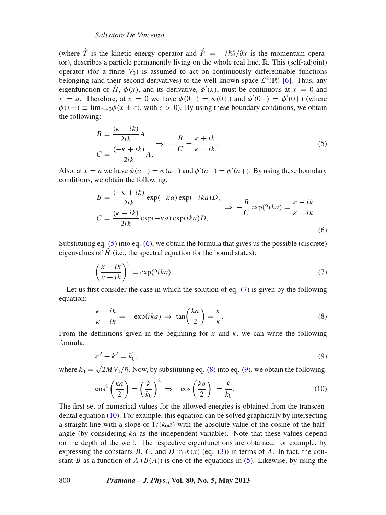## *Sal*v*atore De Vincenzo*

(where  $\hat{T}$  is the kinetic energy operator and  $\hat{P} = -i\hbar \partial/\partial x$  is the momentum operator), describes a particle permanently living on the whole real line, R. This (self-adjoint) operator (for a finite  $V_0$ ) is assumed to act on continuously differentiable functions belonging (and their second derivatives) to the well-known space  $\mathcal{L}^2(\mathbb{R})$  [\[6\]](#page-13-5). Thus, any eigenfunction of  $\hat{H}$ ,  $\phi(x)$ , and its derivative,  $\phi'(x)$ , must be continuous at  $x = 0$  and *x* = *a*. Therefore, at *x* = 0 we have  $\phi(0-) = \phi(0+)$  and  $\phi'(0-) = \phi'(0+)$  (where  $\phi(x\pm) \equiv \lim_{\epsilon \to 0} \phi(x\pm \epsilon)$ , with  $\epsilon > 0$ ). By using these boundary conditions, we obtain the following:

<span id="page-3-0"></span>
$$
B = \frac{(\kappa + ik)}{2ik} A,
$$
  
\n
$$
C = \frac{(-\kappa + ik)}{2ik} A,
$$
\n
$$
\Rightarrow -\frac{B}{C} = \frac{\kappa + ik}{\kappa - ik}.
$$
\n(5)

Also, at  $x = a$  we have  $\phi(a-) = \phi(a+)$  and  $\phi'(a-) = \phi'(a+)$ . By using these boundary conditions, we obtain the following:

<span id="page-3-1"></span>
$$
B = \frac{(-\kappa + ik)}{2ik} \exp(-\kappa a) \exp(-ika)D,
$$
  
\n
$$
C = \frac{(\kappa + ik)}{2ik} \exp(-\kappa a) \exp(ika)D,
$$
  
\n
$$
\Rightarrow -\frac{B}{C} \exp(2ika) = \frac{\kappa - ik}{\kappa + ik}.
$$
  
\n(6)

Substituting eq.  $(5)$  into eq.  $(6)$ , we obtain the formula that gives us the possible (discrete) eigenvalues of  $\hat{H}$  (i.e., the spectral equation for the bound states):

<span id="page-3-2"></span>
$$
\left(\frac{\kappa - ik}{\kappa + ik}\right)^2 = \exp(2ika). \tag{7}
$$

Let us first consider the case in which the solution of eq. [\(7\)](#page-3-2) is given by the following equation:

<span id="page-3-3"></span>
$$
\frac{\kappa - ik}{\kappa + ik} = -\exp(ika) \Rightarrow \tan\left(\frac{ka}{2}\right) = \frac{\kappa}{k}.
$$
\n(8)

From the definitions given in the beginning for  $\kappa$  and  $\kappa$ , we can write the following formula:

<span id="page-3-5"></span><span id="page-3-4"></span>
$$
\kappa^2 + k^2 = k_0^2,\tag{9}
$$

where  $k_0 = \sqrt{2MV_0}/\hbar$ . Now, by substituting eq. [\(8\)](#page-3-3) into eq. [\(9\)](#page-3-4), we obtain the following:

$$
\cos^2\left(\frac{ka}{2}\right) = \left(\frac{k}{k_0}\right)^2 \implies \left|\cos\left(\frac{ka}{2}\right)\right| = \frac{k}{k_0}.\tag{10}
$$

The first set of numerical values for the allowed energies is obtained from the transcendental equation [\(10\)](#page-3-5). For example, this equation can be solved graphically by intersecting a straight line with a slope of  $1/(k_0a)$  with the absolute value of the cosine of the halfangle (by considering *ka* as the independent variable). Note that these values depend on the depth of the well. The respective eigenfunctions are obtained, for example, by expressing the constants *B*, *C*, and *D* in  $\phi(x)$  (eq. [\(3\)](#page-2-1)) in terms of *A*. In fact, the constant *B* as a function of *A* ( $B(A)$ ) is one of the equations in [\(5\)](#page-3-0). Likewise, by using the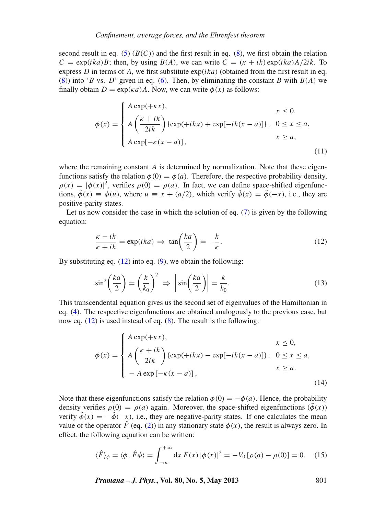second result in eq. [\(5\)](#page-3-0)  $(B(C))$  and the first result in eq. [\(8\)](#page-3-3), we first obtain the relation  $C = \exp(ika)B$ ; then, by using  $B(A)$ , we can write  $C = (k + ik) \exp(ika)A/2ik$ . To express *D* in terms of *A*, we first substitute  $exp(ika)$  (obtained from the first result in eq. [\(8\)](#page-3-3)) into '*B* vs. *D*' given in eq. [\(6\)](#page-3-1). Then, by eliminating the constant *B* with  $B(A)$  we finally obtain  $D = \exp(\kappa a)A$ . Now, we can write  $\phi(x)$  as follows:

<span id="page-4-2"></span>
$$
\phi(x) = \begin{cases}\nA \exp(+\kappa x), & x \le 0, \\
A \left(\frac{\kappa + ik}{2ik}\right) \{ \exp(+ikx) + \exp[-ik(x - a)] \}, & 0 \le x \le a, \\
A \exp[-\kappa(x - a)], & x \ge a,\n\end{cases}
$$
\n(11)

where the remaining constant *A* is determined by normalization. Note that these eigenfunctions satisfy the relation  $\phi(0) = \phi(a)$ . Therefore, the respective probability density,  $\rho(x) = |\phi(x)|^2$ , verifies  $\rho(0) = \rho(a)$ . In fact, we can define space-shifted eigenfunctions,  $\tilde{\phi}(x) \equiv \phi(u)$ , where  $u \equiv x + (a/2)$ , which verify  $\tilde{\phi}(x) = \tilde{\phi}(-x)$ , i.e., they are positive-parity states.

Let us now consider the case in which the solution of eq.  $(7)$  is given by the following equation:

<span id="page-4-1"></span><span id="page-4-0"></span>
$$
\frac{\kappa - ik}{\kappa + ik} = \exp(ika) \implies \tan\left(\frac{ka}{2}\right) = -\frac{k}{\kappa}.\tag{12}
$$

By substituting eq.  $(12)$  into eq.  $(9)$ , we obtain the following:

$$
\sin^2\left(\frac{ka}{2}\right) = \left(\frac{k}{k_0}\right)^2 \implies \left|\sin\left(\frac{ka}{2}\right)\right| = \frac{k}{k_0}.\tag{13}
$$

This transcendental equation gives us the second set of eigenvalues of the Hamiltonian in eq. [\(4\)](#page-2-2). The respective eigenfunctions are obtained analogously to the previous case, but now eq.  $(12)$  is used instead of eq.  $(8)$ . The result is the following:

<span id="page-4-3"></span>
$$
\phi(x) = \begin{cases}\nA \exp(+\kappa x), & x \le 0, \\
A\left(\frac{\kappa + ik}{2ik}\right) \{\exp(+ikx) - \exp[-ik(x - a)]\}, & 0 \le x \le a, \\
-A \exp[-\kappa(x - a)], & x \ge a.\n\end{cases}
$$
\n(14)

Note that these eigenfunctions satisfy the relation  $\phi(0) = -\phi(a)$ . Hence, the probability density verifies  $\rho(0) = \rho(a)$  again. Moreover, the space-shifted eigenfunctions  $(\phi(x))$ verify  $\tilde{\phi}(x) = -\tilde{\phi}(-x)$ , i.e., they are negative-parity states. If one calculates the mean value of the operator  $\hat{F}$  (eq. [\(2\)](#page-2-3)) in any stationary state  $\phi(x)$ , the result is always zero. In effect, the following equation can be written:

<span id="page-4-4"></span>
$$
\langle \hat{F} \rangle_{\phi} = \langle \phi, \hat{F} \phi \rangle = \int_{-\infty}^{+\infty} dx \, F(x) \, |\phi(x)|^2 = -V_0 \, [\rho(a) - \rho(0)] = 0. \tag{15}
$$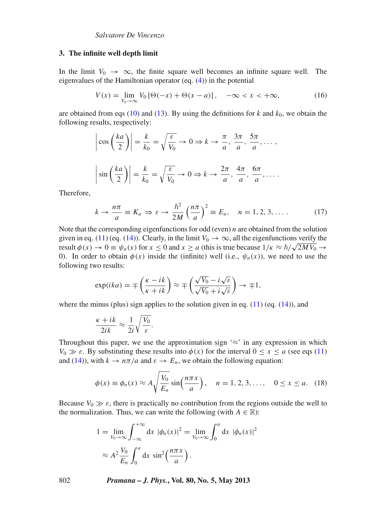#### <span id="page-5-0"></span>**3. The infinite well depth limit**

In the limit  $V_0 \rightarrow \infty$ , the finite square well becomes an infinite square well. The eigenvalues of the Hamiltonian operator (eq. [\(4\)](#page-2-2)) in the potential

<span id="page-5-2"></span>
$$
V(x) = \lim_{V_0 \to \infty} V_0 \left[ \Theta(-x) + \Theta(x - a) \right], \quad -\infty < x < +\infty,\tag{16}
$$

are obtained from eqs [\(10\)](#page-3-5) and [\(13\)](#page-4-1). By using the definitions for  $k$  and  $k_0$ , we obtain the following results, respectively:

$$
\left|\cos\left(\frac{ka}{2}\right)\right| = \frac{k}{k_0} = \sqrt{\frac{\varepsilon}{V_0}} \to 0 \Rightarrow k \to \frac{\pi}{a}, \frac{3\pi}{a}, \frac{5\pi}{a}, \dots,
$$

$$
\left|\sin\left(\frac{ka}{2}\right)\right| = \frac{k}{k_0} = \sqrt{\frac{\varepsilon}{V_0}} \to 0 \Rightarrow k \to \frac{2\pi}{a}, \frac{4\pi}{a}, \frac{6\pi}{a}, \dots.
$$

Therefore,

<span id="page-5-3"></span>
$$
k \to \frac{n\pi}{a} \equiv K_n \Rightarrow \varepsilon \to \frac{\hbar^2}{2M} \left(\frac{n\pi}{a}\right)^2 \equiv E_n, \quad n = 1, 2, 3, \dots \tag{17}
$$

Note that the corresponding eigenfunctions for odd (even) *n* are obtained from the solution given in eq. [\(11\)](#page-4-2) (eq. [\(14\)](#page-4-3)). Clearly, in the limit  $V_0 \rightarrow \infty$ , all the eigenfunctions verify the given in eq. (11) (eq. (14)). Clearly, in the finite  $v_0 \to \infty$ , an the eigenfunctions vertify the result  $\phi(x) \to 0 \equiv \psi_n(x)$  for  $x \le 0$  and  $x \ge a$  (this is true because  $1/\kappa \approx \hbar/\sqrt{2M V_0} \to$ 0). In order to obtain  $\phi(x)$  inside the (infinite) well (i.e.,  $\psi_n(x)$ ), we need to use the following two results:

$$
\exp(ika) = \mp \left(\frac{\kappa - ik}{\kappa + ik}\right) \approx \mp \left(\frac{\sqrt{V_0} - i\sqrt{\varepsilon}}{\sqrt{V_0} + i\sqrt{\varepsilon}}\right) \to \mp 1,
$$

where the minus (plus) sign applies to the solution given in eq.  $(11)$  (eq.  $(14)$ ), and

$$
\frac{\kappa + ik}{2ik} \approx \frac{1}{2i} \sqrt{\frac{V_0}{\varepsilon}}.
$$

Throughout this paper, we use the approximation sign ' $\approx$ ' in any expression in which  $V_0 \gg \varepsilon$ . By substituting these results into  $\phi(x)$  for the interval  $0 \le x \le a$  (see eqs [\(11\)](#page-4-2) and [\(14\)](#page-4-3)), with  $k \to n\pi/a$  and  $\varepsilon \to E_n$ , we obtain the following equation:

<span id="page-5-1"></span>
$$
\phi(x) \equiv \phi_n(x) \approx A \sqrt{\frac{V_0}{E_n}} \sin\left(\frac{n\pi x}{a}\right), \quad n = 1, 2, 3, \dots, \quad 0 \le x \le a. \tag{18}
$$

Because  $V_0 \gg \varepsilon$ , there is practically no contribution from the regions outside the well to the normalization. Thus, we can write the following (with  $A \in \mathbb{R}$ ):

$$
1 = \lim_{V_0 \to \infty} \int_{-\infty}^{+\infty} dx \ |\phi_n(x)|^2 = \lim_{V_0 \to \infty} \int_0^a dx \ |\phi_n(x)|^2
$$

$$
\approx A^2 \frac{V_0}{E_n} \int_0^a dx \ \sin^2\left(\frac{n\pi x}{a}\right).
$$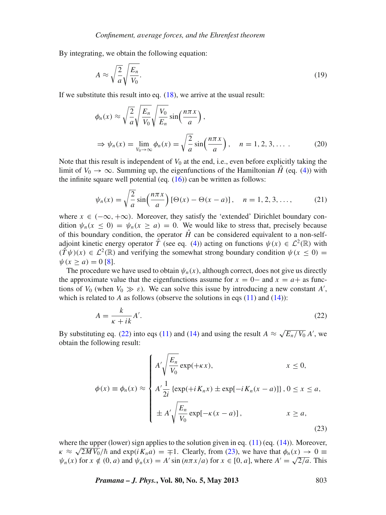By integrating, we obtain the following equation:

$$
A \approx \sqrt{\frac{2}{a}} \sqrt{\frac{E_n}{V_0}}.
$$
\n(19)

If we substitute this result into eq.  $(18)$ , we arrive at the usual result:

$$
\phi_n(x) \approx \sqrt{\frac{2}{a}} \sqrt{\frac{E_n}{V_0}} \sqrt{\frac{V_0}{E_n}} \sin\left(\frac{n\pi x}{a}\right),
$$
  

$$
\Rightarrow \psi_n(x) = \lim_{V_0 \to \infty} \phi_n(x) = \sqrt{\frac{2}{a}} \sin\left(\frac{n\pi x}{a}\right), \quad n = 1, 2, 3, ....
$$
 (20)

Note that this result is independent of  $V_0$  at the end, i.e., even before explicitly taking the limit of  $V_0 \rightarrow \infty$ . Summing up, the eigenfunctions of the Hamiltonian  $\hat{H}$  (eq. [\(4\)](#page-2-2)) with the infinite square well potential (eq.  $(16)$ ) can be written as follows:

<span id="page-6-2"></span>
$$
\psi_n(x) = \sqrt{\frac{2}{a}} \sin\left(\frac{n\pi x}{a}\right) [\Theta(x) - \Theta(x - a)], \quad n = 1, 2, 3, \dots,
$$
 (21)

where  $x \in (-\infty, +\infty)$ . Moreover, they satisfy the 'extended' Dirichlet boundary condition  $\psi_n(x \leq 0) = \psi_n(x \geq a) = 0$ . We would like to stress that, precisely because of this boundary condition, the operator  $\hat{H}$  can be considered equivalent to a non-selfadjoint kinetic energy operator  $\hat{T}$  (see eq. [\(4\)](#page-2-2)) acting on functions  $\psi(x) \in \mathcal{L}^2(\mathbb{R})$  with  $(\hat{T}\psi)(x) \in \mathcal{L}^2(\mathbb{R})$  and verifying the somewhat strong boundary condition  $\psi(x < 0)$  =  $\psi(x > a) = 0$  [\[8](#page-13-7)].

The procedure we have used to obtain  $\psi_n(x)$ , although correct, does not give us directly the approximate value that the eigenfunctions assume for  $x = 0$  and  $x = a +$  as functions of  $V_0$  (when  $V_0 \gg \varepsilon$ ). We can solve this issue by introducing a new constant *A'*, which is related to  $A$  as follows (observe the solutions in eqs  $(11)$  and  $(14)$ ):

<span id="page-6-0"></span>
$$
A = \frac{k}{\kappa + ik} A'.
$$
 (22)

By substituting eq. [\(22\)](#page-6-0) into eqs [\(11\)](#page-4-2) and [\(14\)](#page-4-3) and using the result  $A \approx \sqrt{E_n/V_0} A'$ , we obtain the following result:

<span id="page-6-1"></span>
$$
\phi(x) \equiv \phi_n(x) \approx \begin{cases} A' \sqrt{\frac{E_n}{V_0}} \exp(+\kappa x), & x \le 0, \\ A' \frac{1}{2i} \left\{ \exp(+i K_n x) \pm \exp[-i K_n (x-a)] \right\}, 0 \le x \le a, \\ \pm A' \sqrt{\frac{E_n}{V_0}} \exp[-\kappa (x-a)], & x \ge a, \end{cases}
$$
(23)

where the upper (lower) sign applies to the solution given in eq.  $(11)$  (eq.  $(14)$ ). Moreover, where the upper (lower) sign applies to the solution given in eq. (11) (eq. (14)). Moreover,<br> $\kappa \approx \sqrt{2M V_0}/\hbar$  and exp( $i K_n a$ ) =  $\mp 1$ . Clearly, from [\(23\)](#page-6-1), we have that  $\phi_n(x) \to 0$  $\psi_n(x)$  for  $x \notin (0, a)$  and  $\psi_n(x) = A' \sin(n\pi x/a)$  for  $x \in [0, a]$ , where  $A' = \sqrt{2/a}$ . This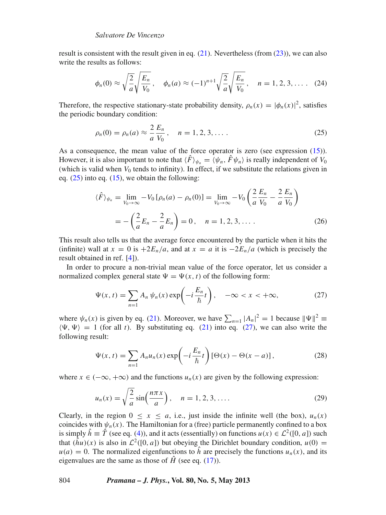result is consistent with the result given in eq.  $(21)$ . Nevertheless (from  $(23)$ ), we can also write the results as follows:

<span id="page-7-2"></span>
$$
\phi_n(0) \approx \sqrt{\frac{2}{a}} \sqrt{\frac{E_n}{V_0}}, \quad \phi_n(a) \approx (-1)^{n+1} \sqrt{\frac{2}{a}} \sqrt{\frac{E_n}{V_0}}, \quad n = 1, 2, 3, ....
$$
 (24)

Therefore, the respective stationary-state probability density,  $\rho_n(x) = |\phi_n(x)|^2$ , satisfies the periodic boundary condition:

<span id="page-7-0"></span>
$$
\rho_n(0) = \rho_n(a) \approx \frac{2}{a} \frac{E_n}{V_0}, \quad n = 1, 2, 3, \dots
$$
 (25)

As a consequence, the mean value of the force operator is zero (see expression [\(15\)](#page-4-4)). However, it is also important to note that  $\langle \hat{F} \rangle_{\psi_n} = \langle \psi_n, \hat{F} \psi_n \rangle$  is really independent of  $V_0$ (which is valid when  $V_0$  tends to infinity). In effect, if we substitute the relations given in eq.  $(25)$  into eq.  $(15)$ , we obtain the following:

$$
\langle \hat{F} \rangle_{\psi_n} = \lim_{V_0 \to \infty} -V_0 \left[ \rho_n(a) - \rho_n(0) \right] = \lim_{V_0 \to \infty} -V_0 \left( \frac{2}{a} \frac{E_n}{V_0} - \frac{2}{a} \frac{E_n}{V_0} \right)
$$
  
=  $-\left( \frac{2}{a} E_n - \frac{2}{a} E_n \right) = 0, \quad n = 1, 2, 3, ....$  (26)

This result also tells us that the average force encountered by the particle when it hits the (infinite) wall at  $x = 0$  is  $+2E_n/a$ , and at  $x = a$  it is  $-2E_n/a$  (which is precisely the result obtained in ref. [\[4\]](#page-13-3)).

In order to procure a non-trivial mean value of the force operator, let us consider a normalized complex general state  $\Psi = \Psi(x, t)$  of the following form:

<span id="page-7-1"></span>
$$
\Psi(x,t) = \sum_{n=1} A_n \psi_n(x) \exp\left(-i\frac{E_n}{\hbar}t\right), \quad -\infty < x < +\infty,\tag{27}
$$

where  $\psi_n(x)$  is given by eq. [\(21\)](#page-6-2). Moreover, we have  $\sum_{n=1} |A_n|^2 = 1$  because  $\|\Psi\|^2 \equiv$  $\langle \Psi, \Psi \rangle = 1$  (for all *t*). By substituting eq. [\(21\)](#page-6-2) into eq. [\(27\)](#page-7-1), we can also write the following result:

$$
\Psi(x,t) = \sum_{n=1} A_n u_n(x) \exp\left(-i\frac{E_n}{\hbar}t\right) [\Theta(x) - \Theta(x-a)],\tag{28}
$$

where  $x \in (-\infty, +\infty)$  and the functions  $u_n(x)$  are given by the following expression:

$$
u_n(x) = \sqrt{\frac{2}{a}} \sin\left(\frac{n\pi x}{a}\right), \quad n = 1, 2, 3, ....
$$
 (29)

Clearly, in the region  $0 \le x \le a$ , i.e., just inside the infinite well (the box),  $u_n(x)$ coincides with  $\psi_n(x)$ . The Hamiltonian for a (free) particle permanently confined to a box is simply  $\hat{h} \equiv \hat{T}$  (see eq. [\(4\)](#page-2-2)), and it acts (essentially) on functions  $u(x) \in \mathcal{L}^2([0, a])$  such that  $(\hat{h}u)(x)$  is also in  $\mathcal{L}^2([0, a])$  but obeying the Dirichlet boundary condition,  $u(0)$  =  $u(a) = 0$ . The normalized eigenfunctions to  $\hat{h}$  are precisely the functions  $u_n(x)$ , and its eigenvalues are the same as those of  $\hat{H}$  (see eq. [\(17\)](#page-5-3)).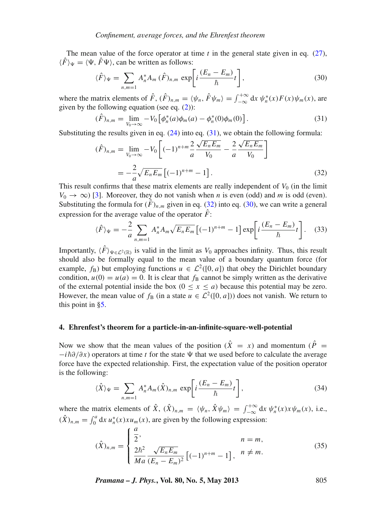The mean value of the force operator at time *t* in the general state given in eq. [\(27\)](#page-7-1),  $\langle \hat{F} \rangle$ <sub> $\Psi$ </sub> =  $\langle \Psi, \hat{F} \Psi \rangle$ , can be written as follows:

<span id="page-8-3"></span>
$$
\langle \hat{F} \rangle_{\Psi} = \sum_{n,m=1} A_n^* A_m \, (\hat{F})_{n,m} \, \exp\bigg[ i \frac{(E_n - E_m)}{\hbar} t \bigg],\tag{30}
$$

where the matrix elements of  $\hat{F}$ ,  $(\hat{F})_{n,m} = \langle \psi_n, \hat{F} \psi_m \rangle = \int_{-\infty}^{+\infty} dx \psi_n^*(x) F(x) \psi_m(x)$ , are given by the following equation (see eq.  $(2)$ ):

<span id="page-8-1"></span>
$$
(\hat{F})_{n,m} = \lim_{V_0 \to \infty} -V_0 \left[ \phi_n^*(a)\phi_m(a) - \phi_n^*(0)\phi_m(0) \right]. \tag{31}
$$

Substituting the results given in eq.  $(24)$  into eq.  $(31)$ , we obtain the following formula:

<span id="page-8-2"></span>
$$
(\hat{F})_{n,m} = \lim_{V_0 \to \infty} -V_0 \left[ (-1)^{n+m} \frac{2}{a} \frac{\sqrt{E_n E_m}}{V_0} - \frac{2}{a} \frac{\sqrt{E_n E_m}}{V_0} \right]
$$

$$
= -\frac{2}{a} \sqrt{E_n E_m} \left[ (-1)^{n+m} - 1 \right].
$$
(32)

This result confirms that these matrix elements are really independent of  $V_0$  (in the limit  $V_0 \rightarrow \infty$ ) [\[3\]](#page-13-2). Moreover, they do not vanish when *n* is even (odd) and *m* is odd (even). Substituting the formula for  $(F)_{n,m}$  given in eq. [\(32\)](#page-8-2) into eq. [\(30\)](#page-8-3), we can write a general expression for the average value of the operator  $\hat{F}$ :

<span id="page-8-4"></span>
$$
\langle \hat{F} \rangle_{\Psi} = -\frac{2}{a} \sum_{n,m=1} A_n^* A_m \sqrt{E_n E_m} \left[ (-1)^{n+m} - 1 \right] \exp \left[ i \frac{(E_n - E_m)}{\hbar} t \right]. \tag{33}
$$

Importantly,  $\langle \hat{F} \rangle_{\Psi \in \mathcal{L}^2(\mathbb{R})}$  is valid in the limit as *V*<sub>0</sub> approaches infinity. Thus, this result should also be formally equal to the mean value of a boundary quantum force (for example,  $f_B$ ) but employing functions  $u \in \mathcal{L}^2([0, a])$  that obey the Dirichlet boundary condition,  $u(0) = u(a) = 0$ . It is clear that  $f<sub>B</sub>$  cannot be simply written as the derivative of the external potential inside the box  $(0 \le x \le a)$  because this potential may be zero. However, the mean value of  $f_B$  (in a state  $u \in L^2([0, a])$ ) does not vanish. We return to this point in [§5.](#page-9-0)

#### <span id="page-8-0"></span>**4. Ehrenfest's theorem for a particle-in-an-infinite-square-well-potential**

Now we show that the mean values of the position  $(\hat{X} = x)$  and momentum  $(\hat{P} = x)$  $-i\hbar\partial/\partial x$ ) operators at time *t* for the state  $\Psi$  that we used before to calculate the average force have the expected relationship. First, the expectation value of the position operator is the following:

$$
\langle \hat{X} \rangle_{\Psi} = \sum_{n,m=1} A_n^* A_m(\hat{X})_{n,m} \exp\left[i\frac{(E_n - E_m)}{\hbar}t\right],\tag{34}
$$

where the matrix elements of  $\hat{X}$ ,  $(\hat{X})_{n,m} = \langle \psi_n, \hat{X} \psi_m \rangle = \int_{-\infty}^{+\infty} dx \psi_n^*(x) x \psi_m(x)$ , i.e.,  $(\hat{X})_{n,m} = \int_0^a dx \, u_n^*(x) x u_m(x)$ , are given by the following expression:

$$
(\hat{X})_{n,m} = \begin{cases} \frac{a}{2}, & n = m, \\ \frac{2\hbar^2}{Ma} \frac{\sqrt{E_n E_m}}{(E_n - E_m)^2} \left[ (-1)^{n+m} - 1 \right], & n \neq m. \end{cases}
$$
(35)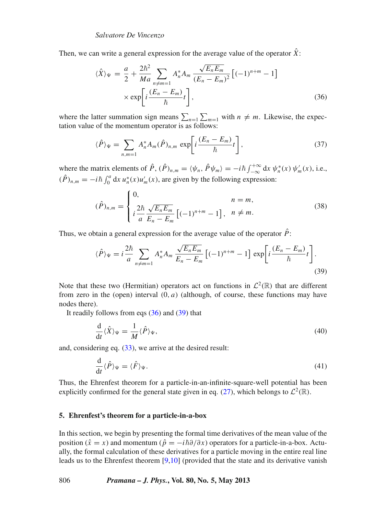Then, we can write a general expression for the average value of the operator  $\hat{X}$ :

<span id="page-9-1"></span>
$$
\langle \hat{X} \rangle_{\Psi} = \frac{a}{2} + \frac{2\hbar^2}{Ma} \sum_{\substack{n \neq m=1}} A_n^* A_m \frac{\sqrt{E_n E_m}}{(E_n - E_m)^2} \left[ (-1)^{n+m} - 1 \right]
$$

$$
\times \exp \left[ i \frac{(E_n - E_m)}{\hbar} t \right], \tag{36}
$$

where the latter summation sign means  $\sum_{n=1}^{\infty} \sum_{m=1}^{\infty}$  with  $n \neq m$ . Likewise, the expectation value of the momentum operator is as follows:

$$
\langle \hat{P} \rangle_{\Psi} = \sum_{n,m=1} A_n^* A_m (\hat{P})_{n,m} \exp \left[ i \frac{(E_n - E_m)}{\hbar} t \right], \tag{37}
$$

where the matrix elements of  $\hat{P}$ ,  $(\hat{P})_{n,m} = \langle \psi_n, \hat{P} \psi_m \rangle = -i\hbar \int_{-\infty}^{+\infty} dx \psi_n^*(x) \psi_m'(x)$ , i.e.,  $(\hat{P})_{n,m} = -i\hbar \int_0^a dx \, u_n^*(x) u_m'(x)$ , are given by the following expression:

$$
(\hat{P})_{n,m} = \begin{cases} 0, & n = m, \\ i \frac{2\hbar}{a} \frac{\sqrt{E_n E_m}}{E_n - E_m} \left[ (-1)^{n+m} - 1 \right], & n \neq m. \end{cases}
$$
(38)

Thus, we obtain a general expression for the average value of the operator  $\hat{P}$ :

<span id="page-9-2"></span>
$$
\langle \hat{P} \rangle_{\Psi} = i \frac{2\hbar}{a} \sum_{n \neq m=1} A_n^* A_m \frac{\sqrt{E_n E_m}}{E_n - E_m} \left[ (-1)^{n+m} - 1 \right] \exp \left[ i \frac{(E_n - E_m)}{\hbar} t \right]. \tag{39}
$$

Note that these two (Hermitian) operators act on functions in  $\mathcal{L}^2(\mathbb{R})$  that are different from zero in the (open) interval  $(0, a)$  (although, of course, these functions may have nodes there).

It readily follows from eqs  $(36)$  and  $(39)$  that

<span id="page-9-4"></span><span id="page-9-3"></span>
$$
\frac{\mathrm{d}}{\mathrm{d}t}\langle\hat{X}\rangle_{\Psi} = \frac{1}{M}\langle\hat{P}\rangle_{\Psi},\tag{40}
$$

and, considering eq. [\(33\)](#page-8-4), we arrive at the desired result:

$$
\frac{\mathrm{d}}{\mathrm{d}t}\langle\hat{P}\rangle_{\Psi} = \langle\hat{F}\rangle_{\Psi}.\tag{41}
$$

Thus, the Ehrenfest theorem for a particle-in-an-infinite-square-well potential has been explicitly confirmed for the general state given in eq. [\(27\)](#page-7-1), which belongs to  $\mathcal{L}^2(\mathbb{R})$ .

### <span id="page-9-0"></span>**5. Ehrenfest's theorem for a particle-in-a-box**

In this section, we begin by presenting the formal time derivatives of the mean value of the position ( $\hat{x} = x$ ) and momentum ( $\hat{p} = -i\hbar \partial/\partial x$ ) operators for a particle-in-a-box. Actually, the formal calculation of these derivatives for a particle moving in the entire real line leads us to the Ehrenfest theorem  $[9,10]$  $[9,10]$  (provided that the state and its derivative vanish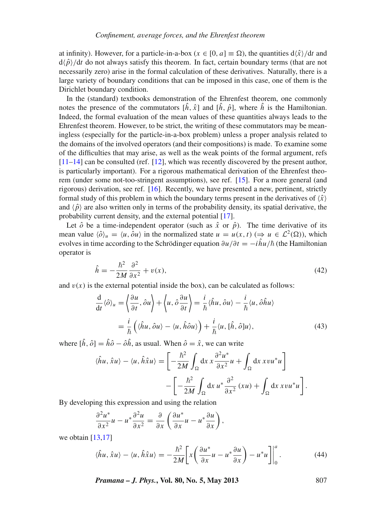at infinity). However, for a particle-in-a-box ( $x \in [0, a] \equiv \Omega$ ), the quantities  $d\hat{x}/dt$  and  $d\langle \hat{p}\rangle/dt$  do not always satisfy this theorem. In fact, certain boundary terms (that are not necessarily zero) arise in the formal calculation of these derivatives. Naturally, there is a large variety of boundary conditions that can be imposed in this case, one of them is the Dirichlet boundary condition.

In the (standard) textbooks demonstration of the Ehrenfest theorem, one commonly notes the presence of the commutators  $[\hat{h}, \hat{x}]$  and  $[\hat{h}, \hat{p}]$ , where  $\hat{h}$  is the Hamiltonian. Indeed, the formal evaluation of the mean values of these quantities always leads to the Ehrenfest theorem. However, to be strict, the writing of these commutators may be meaningless (especially for the particle-in-a-box problem) unless a proper analysis related to the domains of the involved operators (and their compositions) is made. To examine some of the difficulties that may arise, as well as the weak points of the formal argument, refs [\[11](#page-13-10)[–14](#page-13-11)] can be consulted (ref. [\[12\]](#page-13-12), which was recently discovered by the present author, is particularly important). For a rigorous mathematical derivation of the Ehrenfest theorem (under some not-too-stringent assumptions), see ref. [\[15](#page-13-13)]. For a more general (and rigorous) derivation, see ref. [\[16\]](#page-13-14). Recently, we have presented a new, pertinent, strictly formal study of this problem in which the boundary terms present in the derivatives of  $\langle \hat{x} \rangle$ and  $\langle \hat{p} \rangle$  are also written only in terms of the probability density, its spatial derivative, the probability current density, and the external potential [\[17\]](#page-13-15).

Let  $\hat{o}$  be a time-independent operator (such as  $\hat{x}$  or  $\hat{p}$ ). The time derivative of its mean value  $\langle \hat{\partial} \rangle_u = \langle u, \hat{\partial} u \rangle$  in the normalized state  $u = u(x, t) \implies u \in \mathcal{L}^2(\Omega)$ , which evolves in time according to the Schrödinger equation  $\partial u/\partial t = -i\hat{h}u/\hbar$  (the Hamiltonian operator is

$$
\hat{h} = -\frac{\hbar^2}{2M} \frac{\partial^2}{\partial x^2} + v(x),\tag{42}
$$

and  $v(x)$  is the external potential inside the box), can be calculated as follows:

$$
\frac{d}{dt}\langle \hat{\partial} \rangle_u = \left\langle \frac{\partial u}{\partial t}, \hat{\partial} u \right\rangle + \left\langle u, \hat{\partial} \frac{\partial u}{\partial t} \right\rangle = \frac{i}{\hbar} \langle \hat{h} u, \hat{\partial} u \rangle - \frac{i}{\hbar} \langle u, \hat{\partial} \hat{h} u \rangle
$$

$$
= \frac{i}{\hbar} \left( \langle \hat{h} u, \hat{\partial} u \rangle - \langle u, \hat{h} \hat{\partial} u \rangle \right) + \frac{i}{\hbar} \langle u, [\hat{h}, \hat{\partial}] u \rangle,
$$
(43)

where  $[\hat{h}, \hat{o}] = \hat{h}\hat{o} - \hat{o}\hat{h}$ , as usual. When  $\hat{o} = \hat{x}$ , we can write

$$
\langle \hat{h}u, \hat{x}u \rangle - \langle u, \hat{h}\hat{x}u \rangle = \left[ -\frac{\hbar^2}{2M} \int_{\Omega} dx \, x \frac{\partial^2 u^*}{\partial x^2} u + \int_{\Omega} dx \, x v u^* u \right] - \left[ -\frac{\hbar^2}{2M} \int_{\Omega} dx \, u^* \frac{\partial^2}{\partial x^2} (xu) + \int_{\Omega} dx \, x v u^* u \right].
$$

By developing this expression and using the relation

$$
\frac{\partial^2 u^*}{\partial x^2} u - u^* \frac{\partial^2 u}{\partial x^2} = \frac{\partial}{\partial x} \left( \frac{\partial u^*}{\partial x} u - u^* \frac{\partial u}{\partial x} \right),
$$

we obtain  $[13,17]$  $[13,17]$  $[13,17]$ 

<span id="page-10-0"></span>
$$
\langle \hat{h}u, \hat{x}u \rangle - \langle u, \hat{h}\hat{x}u \rangle = -\frac{\hbar^2}{2M} \bigg[ x \bigg( \frac{\partial u^*}{\partial x} u - u^* \frac{\partial u}{\partial x} \bigg) - u^* u \bigg] \bigg|_0^a \,. \tag{44}
$$

<span id="page-10-1"></span>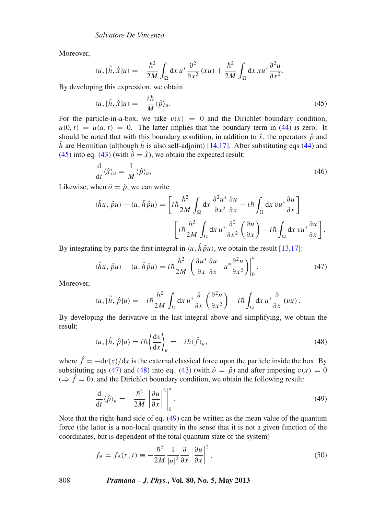Moreover,

$$
\langle u, [\hat{h}, \hat{x}]u \rangle = -\frac{\hbar^2}{2M} \int_{\Omega} dx \, u^* \frac{\partial^2}{\partial x^2} (xu) + \frac{\hbar^2}{2M} \int_{\Omega} dx \, x u^* \frac{\partial^2 u}{\partial x^2}.
$$

By developing this expression, we obtain

<span id="page-11-0"></span>
$$
\langle u, [\hat{h}, \hat{x}]u \rangle = -\frac{i\hbar}{M} \langle \hat{p} \rangle_u. \tag{45}
$$

For the particle-in-a-box, we take  $v(x) = 0$  and the Dirichlet boundary condition,  $u(0, t) = u(a, t) = 0$ . The latter implies that the boundary term in [\(44\)](#page-10-0) is zero. It should be noted that with this boundary condition, in addition to  $\hat{x}$ , the operators  $\hat{p}$  and  $\hat{h}$  are Hermitian (although  $\hat{h}$  is also self-adjoint) [\[14](#page-13-11)[,17](#page-13-15)]. After substituting eqs [\(44\)](#page-10-0) and [\(45\)](#page-11-0) into eq. [\(43\)](#page-10-1) (with  $\hat{\rho} = \hat{x}$ ), we obtain the expected result:

<span id="page-11-4"></span>
$$
\frac{\mathrm{d}}{\mathrm{d}t}\langle\hat{x}\rangle_u = \frac{1}{M}\langle\hat{p}\rangle_u. \tag{46}
$$

Likewise, when  $\hat{o} = \hat{p}$ , we can write

$$
\langle \hat{h}u, \hat{p}u \rangle - \langle u, \hat{h}\hat{p}u \rangle = \left[ i\hbar \frac{\hbar^2}{2M} \int_{\Omega} dx \, \frac{\partial^2 u^*}{\partial x^2} \frac{\partial u}{\partial x} - i\hbar \int_{\Omega} dx \, vu^* \frac{\partial u}{\partial x} \right] - \left[ i\hbar \frac{\hbar^2}{2M} \int_{\Omega} dx \, u^* \frac{\partial^2}{\partial x^2} \left( \frac{\partial u}{\partial x} \right) - i\hbar \int_{\Omega} dx \, vu^* \frac{\partial u}{\partial x} \right].
$$

By integrating by parts the first integral in  $\langle u, \hat{h} \hat{p} u \rangle$ , we obtain the result [\[13](#page-13-16)[,17](#page-13-15)]:

<span id="page-11-1"></span>
$$
\langle \hat{h}u, \hat{p}u \rangle - \langle u, \hat{h}\hat{p}u \rangle = i\hbar \frac{\hbar^2}{2M} \left( \frac{\partial u^*}{\partial x} \frac{\partial u}{\partial x} - u^* \frac{\partial^2 u}{\partial x^2} \right) \Big|_0^a.
$$
 (47)

Moreover,

$$
\langle u, [\hat{h}, \hat{p}]u \rangle = -i\hbar \frac{\hbar^2}{2M} \int_{\Omega} dx \, u^* \frac{\partial}{\partial x} \left( \frac{\partial^2 u}{\partial x^2} \right) + i\hbar \int_{\Omega} dx \, u^* \frac{\partial}{\partial x} \left( v u \right).
$$

By developing the derivative in the last integral above and simplifying, we obtain the result:

<span id="page-11-2"></span>
$$
\langle u, [\hat{h}, \hat{p}]u \rangle = i\hbar \left\langle \frac{\mathrm{d}v}{\mathrm{d}x} \right\rangle_{u} = -i\hbar \langle \hat{f} \rangle_{u},\tag{48}
$$

where  $\hat{f} = -dv(x)/dx$  is the external classical force upon the particle inside the box. By substituting eqs [\(47\)](#page-11-1) and [\(48\)](#page-11-2) into eq. [\(43\)](#page-10-1) (with  $\hat{o} = \hat{p}$ ) and after imposing  $v(x) = 0$  $(\Rightarrow \hat{f} = 0)$ , and the Dirichlet boundary condition, we obtain the following result:

<span id="page-11-3"></span>
$$
\frac{\mathrm{d}}{\mathrm{d}t}\langle\hat{p}\rangle_u = -\frac{\hbar^2}{2M} \left| \frac{\partial u}{\partial x} \right|^2 \bigg|_0^a.
$$
\n(49)

Note that the right-hand side of eq. [\(49\)](#page-11-3) can be written as the mean value of the quantum force (the latter is a non-local quantity in the sense that it is not a given function of the coordinates, but is dependent of the total quantum state of the system)

$$
f_{\rm B} = f_{\rm B}(x,t) \equiv -\frac{\hbar^2}{2M} \frac{1}{|u|^2} \frac{\partial}{\partial x} \left| \frac{\partial u}{\partial x} \right|^2,
$$
 (50)

808 *Pramana – J. Phys.***, Vol. 80, No. 5, May 2013**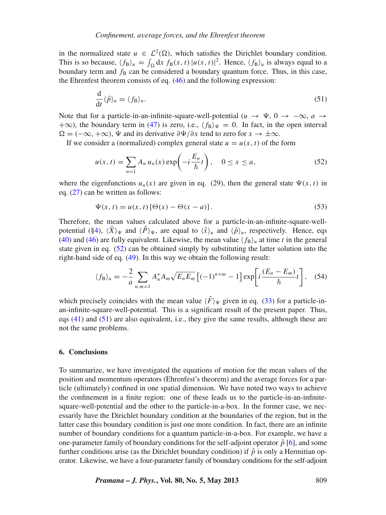in the normalized state  $u \in L^2(\Omega)$ , which satisfies the Dirichlet boundary condition. This is so because,  $\langle f_B \rangle_u = \int_{\Omega} dx f_B(x, t) |u(x, t)|^2$ . Hence,  $\langle f_B \rangle_u$  is always equal to a boundary term and  $f_B$  can be considered a boundary quantum force. Thus, in this case, the Ehrenfest theorem consists of eq. [\(46\)](#page-11-4) and the following expression:

<span id="page-12-2"></span>
$$
\frac{\mathrm{d}}{\mathrm{d}t}\langle\hat{p}\rangle_u = \langle f_{\mathrm{B}}\rangle_u. \tag{51}
$$

Note that for a particle-in-an-infinite-square-well-potential  $(u \to \Psi, 0 \to -\infty, a \to \Psi)$  $+\infty$ ), the boundary term in [\(47\)](#page-11-1) is zero, i.e.,  $\langle f_B \rangle_{\Psi} = 0$ . In fact, in the open interval  $\Omega = (-\infty, +\infty)$ ,  $\Psi$  and its derivative  $\partial \Psi / \partial x$  tend to zero for  $x \to \pm \infty$ .

If we consider a (normalized) complex general state  $u = u(x, t)$  of the form

<span id="page-12-1"></span>
$$
u(x,t) = \sum_{n=1} A_n u_n(x) \exp\left(-i\frac{E_n}{\hbar}t\right), \quad 0 \le x \le a,
$$
 (52)

where the eigenfunctions  $u_n(x)$  are given in eq. (29), then the general state  $\Psi(x, t)$  in eq. [\(27\)](#page-7-1) can be written as follows:

$$
\Psi(x,t) = u(x,t) \left[ \Theta(x) - \Theta(x-a) \right]. \tag{53}
$$

Therefore, the mean values calculated above for a particle-in-an-infinite-square-well-potential ([§4\)](#page-8-0),  $\langle X \rangle_{\Psi}$  and  $\langle \hat{P} \rangle_{\Psi}$ , are equal to  $\langle \hat{x} \rangle_{u}$  and  $\langle \hat{P} \rangle_{u}$ , respectively. Hence, eqs [\(40\)](#page-9-3) and [\(46\)](#page-11-4) are fully equivalent. Likewise, the mean value  $\langle f_B \rangle_u$  at time *t* in the general state given in eq. [\(52\)](#page-12-1) can be obtained simply by substituting the latter solution into the right-hand side of eq. [\(49\)](#page-11-3). In this way we obtain the following result:

$$
\langle f_{\rm B} \rangle_u = -\frac{2}{a} \sum_{n,m=1} A_n^* A_m \sqrt{E_n E_m} \left[ (-1)^{n+m} - 1 \right] \exp \left[ i \frac{(E_n - E_m)}{\hbar} t \right], \quad (54)
$$

which precisely coincides with the mean value  $\langle \hat{F} \rangle_{\Psi}$  given in eq. [\(33\)](#page-8-4) for a particle-inan-infinite-square-well-potential. This is a significant result of the present paper. Thus, eqs [\(41\)](#page-9-4) and [\(51\)](#page-12-2) are also equivalent, i.e., they give the same results, although these are not the same problems.

#### <span id="page-12-0"></span>**6. Conclusions**

To summarize, we have investigated the equations of motion for the mean values of the position and momentum operators (Ehrenfest's theorem) and the average forces for a particle (ultimately) confined in one spatial dimension. We have noted two ways to achieve the confinement in a finite region: one of these leads us to the particle-in-an-infinitesquare-well-potential and the other to the particle-in-a-box. In the former case, we necessarily have the Dirichlet boundary condition at the boundaries of the region, but in the latter case this boundary condition is just one more condition. In fact, there are an infinite number of boundary conditions for a quantum particle-in-a-box. For example, we have a one-parameter family of boundary conditions for the self-adjoint operator  $\hat{p}$  [\[6\]](#page-13-5), and some further conditions arise (as the Dirichlet boundary condition) if  $\hat{p}$  is only a Hermitian operator. Likewise, we have a four-parameter family of boundary conditions for the self-adjoint